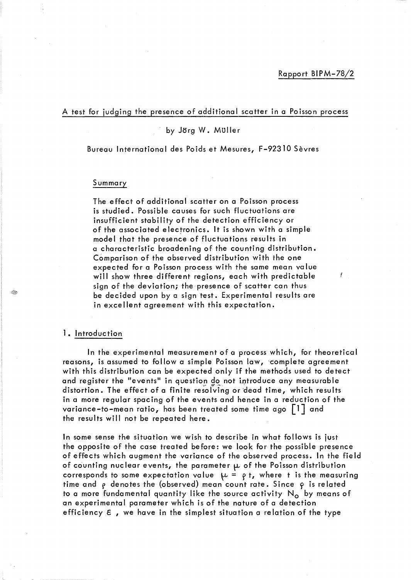L

## A test for judging the presence of additional scatter in a Poisson process

# by Jörg W. Muller

Bureau International des Poids et Mesures, F-92310 Sevres

# Summary

The effect of additional scatter on a Poisson process is studied. Possible causes for such fluctuations are insufficient stability of the detection efficiency or of the associated electronics. It is shown with a simple model that the presence of fluctuations results in a characteristic broadening of the counting distribution. Comparison of the observed distribution with the one expected for a Poisson process with the same mean value will show three different regions, each with predictable sign of the deviation; the presence of scatter can thus be decided upon by a sign test. Experimental results are in excellent agreement with this expectation.

### 1. Introduction

In the experimental measurement of a process which, for theoretical reasons, is assumed to follow a simple Poisson law, 'complete agreement with this distribution can be expected only if the methods used to detect and register the "events" in question do not introduce any measurable distortion. The effect of a finite resolving or dead time, which results in a more regular spacing of the events and hence in a reduction of the variance-to-mean ratio, has been treated some time ago [1] and the results will not be repeated here.

In some sense the situation we wish to describe in what follows is just the opposite of the case treated before: we look for the possible presence of effects which augment the variance of the observed process. In the field of counting nuclear events, the parameter  $\mu$  of the Poisson distribution corresponds to some expectation value  $\mu = \rho t$ , where t is the measuring time and  $\rho$  denotes the (observed) mean count rate. Since  $\rho$  is related to a more fundamental quantity like the source activity  $N_0$  by means of an experimental parameter which is of the nature of a detection efficiency  $\epsilon$ , we have in the simplest situation a relation of the type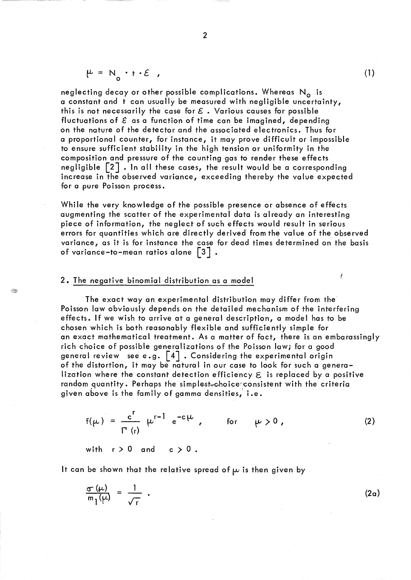$$
\mu = N_o \cdot t \cdot \mathcal{E} ,
$$

neglecting decay or other possible complications. Whereas  $N_{o}$  is a constant and t can usually be measured with negligible uncertainty, this is not necessarily the case for  $\mathcal E$ . Various causes for possible fluctuations of  $\epsilon$  as a function of time can be imagined, depending on the nature of the detector and the associated electronics. Thus for a proportional counter, for instance, it may prove difficult or impossible to ensure sufficient stability in the high tension or uniformity in the composition and pressure of the counting gas to render these effects negligible  $\lceil 2 \rceil$   $\cdot$  In all these cases, the result would be a corresponding increase in the observed variance, exceeding thereby the value expected for a pure Poisson process.

While the very knowledge of the possible presence or absence of effects augmenting the scatter of the experimental data is already an interesting piece of information, the neglect of such effects would result in serious errors for quantities which are directly derived from the value of the observed variance, as it is for instance the case for dead times determined on the basis of variance-to-mean ratios alone  $\lceil 3 \rceil$  .

### 2. The negative binomial distribution as a model

The exact way an experimental distribution may differ from the Poisson law obviously depends on the detailed mechanism of the interfering effects. If we wish to arrive at a general description, a model has to be chosen which is both reasonably flexible and sufficiently simple for an exact mathematical treatment. As a matter of fact, there is an embarassingly rich choice of possible generalizations of the Poisson law; for a good general review see e.g.  $\left[4\right]$  . Considering the experimental origin of the distortion, it may be natural in our case to look for such a generalization where the constant detection efficiency  $\epsilon$  is replaced by a positive random quantity. Perhaps the simplest<sub>y</sub>choice consistent with the criteria given above is the family of gamma densities, i.e.

$$
f(\mu) = \frac{c^{r}}{\Gamma(r)} \mu^{r-1} e^{-c\mu}, \qquad \text{for} \qquad \mu > 0,
$$
 (2)

with  $r > 0$  and  $c > 0$ .

It can be shown that the relative spread of  $\mu$  is then given by

$$
\frac{\sigma(\mu)}{m_1(\mu)} = \frac{1}{\sqrt{r}} \tag{2a}
$$

(1)

I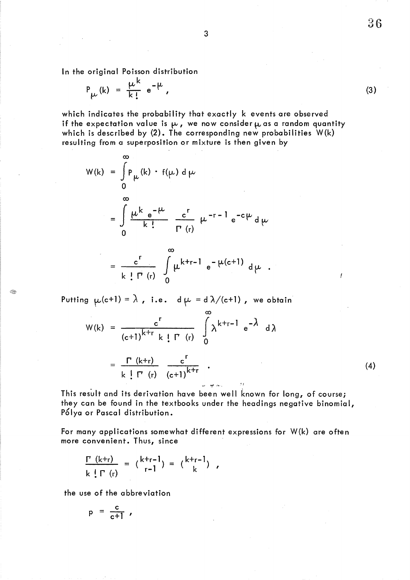In the original Poisson distribution

 $\sim$ 

$$
P_{\mu}(k) = \frac{\mu^{k}}{k!} e^{-\mu},
$$

which indicates the probability that exactly k events are observed if the expectation value is  $\mu$ , we now consider  $\mu$  as a random quantity which is described by  $(2)$ . The corresponding new probabilities  $W(k)$ resulting from a superposition or mixture is then given by

$$
W(k) = \int_{0}^{\infty} P_{\mu}(k) \cdot f(\mu) d\mu
$$
  
= 
$$
\int_{0}^{\infty} \frac{\mu k e^{-\mu}}{k!} \frac{c^{r}}{\Gamma(r)} \mu^{-r-1} e^{-c\mu} d\mu
$$
  

$$
\infty
$$

$$
= \frac{c^{r}}{k! \Gamma^{r}(r)} \int_{0}^{\infty} \mu^{k+r-1} e^{-\mu(c+1)} d\mu.
$$

Putting  $\mu(c+1) = \lambda$ , i.e.  $d \mu = d \lambda/(c+1)$ , we obtain

$$
W(k) = \frac{c^{r}}{(c+1)^{k+r}} k! \Gamma(r) \int_{0}^{\infty} \lambda^{k+r-1} e^{-\lambda} d\lambda
$$

$$
= \frac{\Gamma(k+r)}{k! \Gamma(r)} \frac{c^{r}}{(c+1)^{k+r}}.
$$

This result and its derivation have been well known for long, of course; they can be found in the textbooks under the headings negative binomial, Pólya or Pascal distribution.

ar est mil

"I

For many applications somewhat different expressions for W(k) are often more convenient. Thus, since

$$
\frac{\Gamma(k+r)}{k!\Gamma(r)} = {k+r-1 \choose r-1} = {k+r-1 \choose k},
$$

the use of the abbreviation

$$
p = \frac{c}{c+1} ,
$$

36

(4)

ł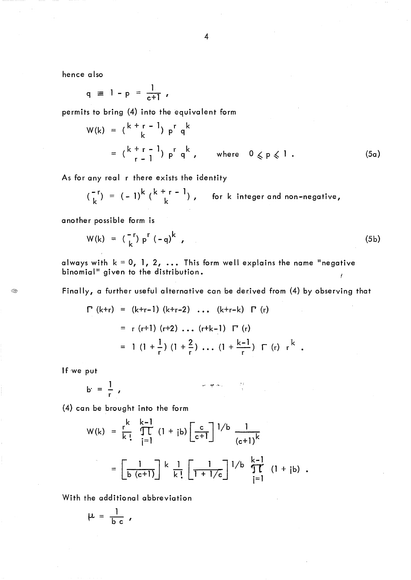hence a Iso

$$
q \equiv 1 - p = \frac{1}{c+1} ,
$$

permits to bring (4) into the equivalent form

$$
W(k) = {k + r - 1 \choose k} p^r q^k
$$
  
=  ${k + r - 1 \choose r - 1} p^r q^k$ , where  $0 \le p \le 1$ . (5a)

As for any real r there exists the identity

$$
\binom{-r}{k} = (-1)^k \binom{k+r-1}{k}, \quad \text{for } k \text{ integer and non-negative,}
$$

another possible form is

$$
W(k) = \binom{-r}{k} p^{r} (-q)^{k} \tag{5b}
$$

always with  $k = 0$ , 1, 2, ... This form well explains the name "negative binomial" given to the distribution.  $\mathbf{r}$ 

Finally, a further useful alternative can be derived from (4) by observing that

$$
\Gamma \text{ (k+r)} = (\text{k+r-1}) (\text{k+r-2}) \dots (\text{k+r-k}) \Gamma \text{ (r)}
$$
\n
$$
= r (\text{r+1}) (\text{r+2}) \dots (\text{r+k-1}) \Gamma \text{ (r)}
$$
\n
$$
= 1 (1 + \frac{1}{r}) (1 + \frac{2}{r}) \dots (1 + \frac{\text{k-1}}{r}) \Gamma \text{ (r)} \text{ r}^k
$$

If we put

Æ

$$
P = \frac{1}{L} \qquad \qquad P = \frac{1}{L}
$$

(4) can be brought into the form  
\n
$$
W(k) = \frac{r^k}{k!} \prod_{j=1}^{k-1} (1 + jb) \left[ \frac{c}{c+1} \right]^{1/b} \frac{1}{(c+1)^k}
$$
\n
$$
= \left[ \frac{1}{b (c+1)} \right]^{k} \frac{1}{k!} \left[ \frac{1}{1+1/c} \right]^{1/b} \prod_{j=1}^{k-1} (1 + jb).
$$

With the additional abbreviation

$$
\mu = \frac{1}{b c} ,
$$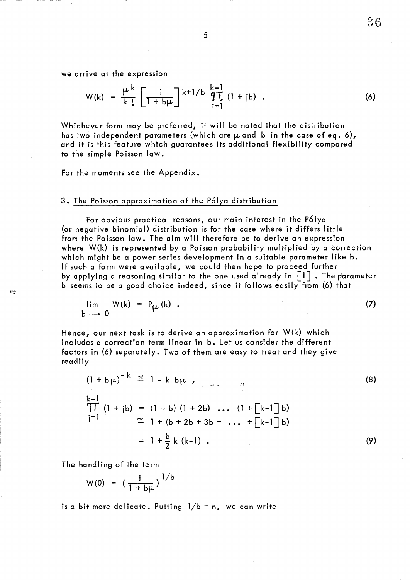we arrive at the expression

The expression  
\n
$$
W(k) = \frac{\mu^{k}}{k!} \left[ \frac{1}{1 + b\mu} \right]^{k+1/b} \prod_{j=1}^{k-1} (1 + jb)
$$
\n(6)

Whichever form may be preferred, it will be noted that the distribution has two independent parameters (which are  $\mu$  and b in the case of eq. 6), and it is this feature which guarantees its additional flexibility compared to the simple Po isson law.

For the moments see the Appendix.

## 3. The Poisson approximation of the Polya distribution

For obvious practical reasons, our main interest in the P61ya (or negative binomial) distribution is for the case where it differs little from the Poisson law. The aim will therefore be to derive an expression where W(k) is represented by a Poisson probability multiplied by a correction which might be a power series development in a suitable parameter like b. If such a form were available, we could then hope to proceed further by applying a reasoning similar to the one used already in  $\lceil 1 \rceil$  . The parameter b seems to be a good choice indeed, since it follows easily from (6) that

$$
\lim_{b \to 0} W(k) = P_{\mu}(k) . \tag{7}
$$

Hence, our next task is to derive an approximation for W(k) which includes a correction term linear in b. Let us consider the different factors in (6) separately. Two of them are easy to treat and they give readily

$$
(1 + b\mu)^{-k} \cong 1 - k b\mu,
$$
  
\n
$$
\frac{k-1}{\prod (1 + jb) = (1 + b) (1 + 2b) \dots (1 + \lfloor k-1 \rfloor b)}
$$
  
\n
$$
\cong 1 + (b + 2b + 3b + \dots + \lfloor k-1 \rfloor b)
$$
  
\n
$$
= 1 + \frac{b}{2} k (k-1).
$$
\n(9)

The handling of the term

$$
W(0) = (\frac{1}{1 + b\mu})^{1/b}
$$

is a bit more delicate. Putting  $1/b = n$ , we can write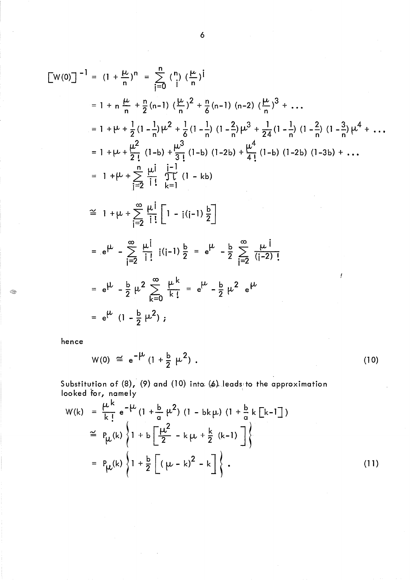$$
\begin{aligned}\n\left[\mathbf{W}(0)\right]^{-1} &= (1 + \frac{\mu}{n})^n = \sum_{j=0}^n \binom{n}{j} \left(\frac{\mu}{n}\right)^j \\
&= 1 + n \frac{\mu}{n} + \frac{n}{2}(n-1) \left(\frac{\mu}{n}\right)^2 + \frac{n}{6}(n-1) (n-2) \left(\frac{\mu}{n}\right)^3 + \dots \\
&= 1 + \mu + \frac{1}{2}(1 - \frac{1}{n})\mu^2 + \frac{1}{6}(1 - \frac{1}{n}) (1 - \frac{2}{n})\mu^3 + \frac{1}{24}(1 - \frac{1}{n}) (1 - \frac{2}{n}) (1 - \frac{3}{n})\mu^4 + \dots \\
&= 1 + \mu + \frac{\mu^2}{2!} (1 - b) + \frac{\mu^3}{3!} (1 - b) (1 - 2b) + \frac{\mu^4}{4!} (1 - b) (1 - 2b) (1 - 3b) + \dots \\
&= 1 + \mu + \sum_{j=2}^n \frac{\mu^j}{j!} \prod_{k=1}^{j-1} (1 - kb) \\
&\cong 1 + \mu + \sum_{j=2}^\infty \frac{\mu^j}{j!} \left[ 1 - j(i-1) \frac{b}{2} \right] \\
&= e^{\mu} - \sum_{j=2}^\infty \frac{\mu^j}{j!} (i-1) \frac{b}{2} = e^{\mu} - \frac{b}{2} \sum_{j=2}^\infty \frac{\mu^j}{(j-2)!} \\
&= e^{\mu} - \frac{b}{2} \mu^2 \sum_{k=0}^\infty \frac{\mu^k}{k!} = e^{\mu} - \frac{b}{2} \mu^2 e^{\mu} \\
&= e^{\mu} (1 - \frac{b}{2} \mu^2),\n\end{aligned}
$$

hence

◈

$$
W(0) \cong e^{-\mu} (1 + \frac{b}{2} \mu^2) .
$$
 (10)

Substitution of (8), (9) and (10) into (6) leads to the approximation looked for, namely .

$$
W(k) = \frac{\mu^{k}}{k!} e^{-\mu} (1 + \frac{b}{\alpha} \mu^{2}) (1 - bk\mu) (1 + \frac{b}{\alpha} k[k-1])
$$
  
\n
$$
\approx P_{\mu}(k) \left\{ 1 + b \left[ \frac{\mu^{2}}{2} - k\mu + \frac{k}{2} (k-1) \right] \right\}
$$
  
\n
$$
= P_{\mu}(k) \left\{ 1 + \frac{b}{2} \left[ (\mu - k)^{2} - k \right] \right\}.
$$
 (11)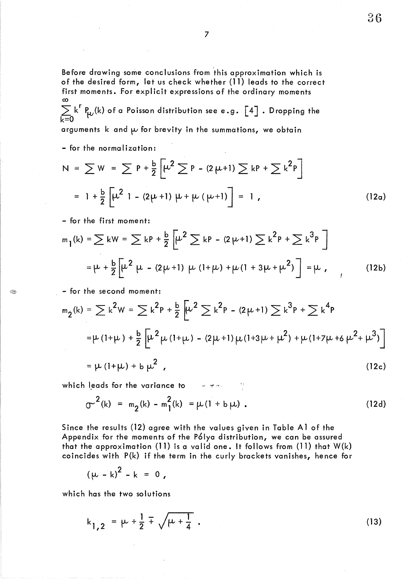Before drawing some conclusions from 'this approximation which is of the desired form, let us check whether (11) leads to the correct first moments. For explicit expressions of the ordinary moments co

 $\sum k^r P_{\mu\nu}(k)$  of a Poisson distribution see e.g.  $\left[\begin{smallmatrix} 4 \end{smallmatrix}\right]$  . Dropping the k=O

arguments k and  $\mu$  for brevity in the summations, we obtain

- for the normalization:

$$
N = \sum W = \sum P + \frac{b}{2} \left[ \mu^2 \sum P - (2 \mu + 1) \sum kP + \sum k^2 P \right]
$$
  
= 1 +  $\frac{b}{2} \left[ \mu^2$  1 - (2 $\mu$ +1)  $\mu$  +  $\mu$  ( $\mu$ +1)  $\right]$  = 1 (12a)

- for the first moment:

$$
m_1(k) = \sum kW = \sum kP + \frac{b}{2} \left[ \mu^2 \sum kP - (2\mu + 1) \sum k^2P + \sum k^3P \right]
$$
  
=  $\mu + \frac{b}{2} \left[ \mu^2 \mu - (2\mu + 1) \mu (1 + \mu) + \mu (1 + 3\mu + \mu^2) \right] = \mu$ , (12b)

- for the second moment:

 $<\,>$ 

$$
m_2(k) = \sum k^2 W = \sum k^2 P + \frac{b}{2} \left[ \mu^2 \sum k^2 P - (2\mu + 1) \sum k^3 P + \sum k^4 P \right]
$$
  
=  $\mu (1 + \mu) + \frac{b}{2} \left[ \mu^2 \mu (1 + \mu) - (2\mu + 1) \mu (1 + 3\mu + \mu^2) + \mu (1 + 7\mu + 6 \mu^2 + \mu^3) \right]$   
=  $\mu (1 + \mu) + b \mu^2$  (12c)

which leads for the variance to

$$
\sigma^{2}(k) = m_{2}(k) - m_{1}^{2}(k) = \mu(1 + b \mu).
$$
 (12d)

Since the results (12) agree with the values given in Table A1 of the Appendix for the moments of the P61ya distribution, we can be assured that the approximation (11) is a valid one. It follows from (11) that W(k) coincides with P(k) if the term in the curly brackets vanishes, hence for

$$
(\mu - k)^2 - k = 0,
$$

which has the two solutions

$$
k_{1,2} = \mu + \frac{1}{2} \pm \sqrt{\mu + \frac{1}{4}} \tag{13}
$$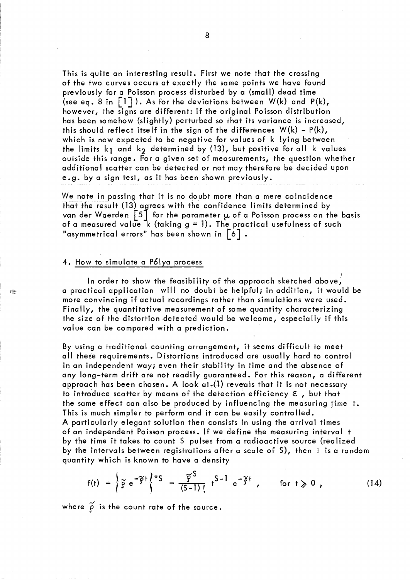This is quite an interesting result. First we note that the crossing of the two curves occurs at exactly the same points we have found previously for a Poisson process disturbed by a (small) dead time (see eq. 8 in  $\lceil 1 \rceil$ ). As for the deviations between  $W(k)$  and  $P(k)$ , however, the signs are different: if the original Poisson distribution has been somehow (slightly) perturbed so that its variance is increased, this should reflect itself in the sign of the differences  $W(k) - P(k)$ , which is now expected to be negative for values of k lying between the limits  $k_1$  and  $k_2$  determined by (13), but positive for all k values outside this range. For a given set of measurements, the question whether additional scatter can be detected or not may therefore be decided upon e. g. by a sign test, as it has been shown previously.

We note in passing that it is no doubt more than a mere coincidence that the result (13) agrees with the confidence limits determined by van der Waerden  $\begin{bmatrix} 5 \end{bmatrix}$  for the parameter  $\mu$  of a Poisson process on the basis of a measured value  $\frac{1}{k}$  (taking  $g = 1$ ). The practical usefulness of such "asymmetrical errors" has been shown in  $\lceil 6 \rceil$  .

# 4. How to simulate a P61ya process

Í

In order to show the feasibility of the approach sketched above,  $^{\prime}$ a practical application will no doubt be helpful; in addition, it would be more convincing if actual recordings rather than simulations were used. Finally, the quantitative measurement of some quantity characterizing the size of the distortion detected would be welcome, especially if this value can be compared with a prediction.

By using a traditional counting arrangement, it seems difficult to meet all these requirements. Distortions introduced are usually hard to control in an independent way; even their stability in time and the absence of any long-term drift are not readily guaranteed. For this reason, a different approach has been chosen. A look at. (1) reveals that it is not necessary to introduce scatter by means of the detection efficiency  $\epsilon$ , but that the same effect can also be produced by influencing the measuring time t. This is much simpler to perform and it can be easily controlled. A particularly elegant solution then consists in using the arrival times of an independent Poisson process. If we define the measuring interval t by the time it takes to count 5 pulses from a radioactive source (realized by the intervals between registrations after a scale of 5), then t is a random quantity which is known to have a density

$$
f(t) = \left\{ \tilde{g} e^{-\tilde{f}t} \right\}^{*S} = \frac{\tilde{g}^{S}}{(S-1)!} t^{S-1} e^{-\tilde{f}t} , \quad \text{for } t \geq 0 , \qquad (14)
$$

where  $\widetilde{\varrho}$  is the count rate of the source.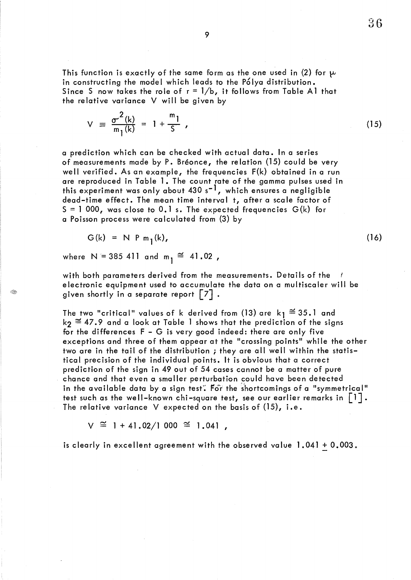This function is exactly of the same form as the one used in (2) for  $\mu$ in constructing the model which leads to the P61ya distribution. Since S now takes the role of  $r = 1/b$ , it follows from Table A1 that the relative variance V will be given by

$$
V = \frac{\sigma^2(k)}{m_1(k)} = 1 + \frac{m_1}{S}, \qquad (15)
$$

a prediction which can be checked with actual data. In a series of measurements made by P. Breonce, the re lation (15) cou Id be very well verified. As an example, the frequencies F(k) obtained in a run are reproduced in Table 1. The count rate of the gamma pulses used in this experiment was only about  $430 s^{-1}$ , which ensures a negligible dead-time effect. The mean time interval t, after a scale factor of  $S = 1000$ , was close to 0.1 s. The expected frequencies  $G(k)$  for a Poisson process were calculated from (3) by

$$
G(k) = N P m1(k), \qquad (16)
$$

where N = 385 411 and  $m_1 \cong 41.02$  ,

C.

with both parameters derived from the measurements. Details of the electronic equipment used to accumulate the data on a multiscaler will be given shortly in a separate report  $\lceil 7 \rceil$ .

The two "critical" values of k derived from (13) are  $k_1 \cong 35.1$  and  $k_2 \cong 47.9$  and a look at Table 1 shows that the prediction of the signs for the differences F - G is very good indeed: there are only five exceptions and three of them appear at the "crossing points" while the other two are in the tail of the distribution; they are all well within the statistical precision of the individual points. It is obvious that a correct prediction of the sign in 49 out of 54 cases cannot be a matter of pure chance and that even a smaller perturbation could have been detected in the available data by a sign test. For the shortcomings of a "symmetrical" test such as the well-known chi-square test, see our earlier remarks in  $\lceil 1 \rceil$ . The relative variance V expected on the basis of  $(15)$ , i.e.

 $V \cong 1 + 41.02/1000 \cong 1.041$ ,

is clearly in excellent agreement with the observed value 1.041 + 0.003.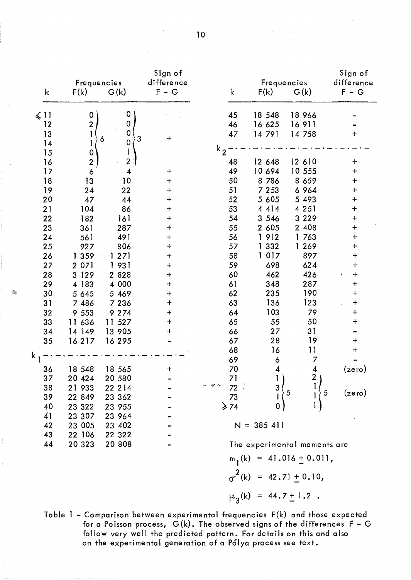| k                | Frequencies<br>F(k)     | G(k)                  | Sign of<br>difference<br>$F - G$  | k                             |              | Frequencies<br>F(k)      | G(k)                             | Sign of<br>difference<br>$F - G$ |
|------------------|-------------------------|-----------------------|-----------------------------------|-------------------------------|--------------|--------------------------|----------------------------------|----------------------------------|
| $\leqslant$ 11   | $\pmb{0}$               | $\overline{0}$        |                                   | 45                            |              | 18 548                   | 18 966                           |                                  |
| 12               | $\boldsymbol{2}$        | $\mathbf 0$           |                                   | 46                            |              | 16 625                   | 16911                            |                                  |
| 13               | 1                       | $\mathbf 0$           | $\div$                            | 47                            |              | 14 791                   | 14 758                           | $\ddag$                          |
| 14               | 1                       | $\mathbf 3$<br>6<br>0 |                                   |                               |              |                          |                                  |                                  |
| 15               | $\mathbf 0$             | 1                     |                                   | $k_{2}$                       |              |                          |                                  |                                  |
| 16               | $\overline{\mathbf{c}}$ | $\mathbf{2}$          |                                   | 48                            |              | 12 648                   | 12 610                           | $\ddag$                          |
| 17               | 6                       | 4                     | +                                 | 49                            |              | 10 694                   | 10 555                           | $\ddot{}$                        |
| 18               | 13                      | 10                    | $\pmb{+}$                         | 50                            |              | 8 7 8 6                  | 8 6 5 9                          | $\ddag$                          |
| 19               | 24                      | 22                    | $\ddot{}$                         | 51                            |              | 7 2 5 3                  | 6 964                            | $\ddag$                          |
| 20               | 47                      | 44                    | $\ddot{}$                         | 52                            |              | 5 6 0 5                  | 5 4 9 3                          | $\ddag$                          |
| 21               | 104                     | 86                    | $\ddot{}$                         | 53                            |              | 4 4 1 4                  | 4 2 5 1                          | $\ddot{}$                        |
| 22               | 182                     | 161                   | $\ddot{}$                         | 54                            |              | 3 5 4 6                  | 3 2 2 9                          | $\ddag$                          |
| 23               | 361                     | 287                   | $\ddot{}$                         | 55                            |              | 2 605                    | 2 408                            | $\ddag$                          |
| 24               | 561                     | 491                   | $\ddag$                           | 56                            | 1            | 912                      | 763                              | $+$                              |
| 25               | 927                     | 806                   | $\ddagger$                        | 57                            | 1            | 332                      | 1 269                            | $\ddag$                          |
| 26               | 359<br>1                | 271                   | $\ddot{}$                         | 58                            | 1            | 017                      | 897                              | +                                |
| 27               | 2 0 7 1                 | 931<br>1.             | $\ddag$                           | 59                            |              | 698<br>462               | 624<br>426                       | $\ddot{}$<br>$\div$              |
| 28               | 3 1 2 9                 | 2 8 2 8<br>4 000      | $\ddot{\phantom{1}}$<br>$\ddot{}$ | 60<br>61                      |              | 348                      | 287                              | Ť<br>$\ddag$                     |
| 29<br>30         | 4 183<br>5 645          | 5 4 6 9               | $\ddagger$                        | 62                            |              | 235                      | 190                              | $\ddag$                          |
| 31               | 7 486                   | 7 2 3 6               | $\ddag$                           | 63                            |              | 136                      | 123                              | $\ddag$                          |
| 32               | 9 5 5 3                 | 9 2 7 4               | $\ddag$                           | 64                            |              | 103                      | 79                               | $+$                              |
| 33               | 11 636                  | 11 527                | $+$                               | 65                            |              | 55                       | 50                               | $\ddag$                          |
| 34               | 14 149                  | 13 905                | ╈                                 | 66                            |              | 27                       | 31                               |                                  |
| 35               | 16217                   | 16 295                |                                   | 67                            |              | 28                       | 19                               | $\ddag$                          |
|                  |                         |                       |                                   | 68                            |              | 16                       | 11                               | $\boldsymbol{+}$                 |
| $^{\mathsf k}$ 1 |                         |                       |                                   | 69                            |              | 6                        | 7                                |                                  |
| 36               | 18 548                  | 18 565                | $\textcolor{red}{+}$              | 70                            |              | 4                        | 4                                | (zero)                           |
| 37               | 20 4 24                 | 20 580                |                                   | 71                            |              |                          |                                  |                                  |
| 38               | 21 933                  | 22 2 14               |                                   | $M \sim 72$                   |              | $\frac{3}{1}$ $\Big\{$ 5 |                                  |                                  |
| 39               | 22 849                  | 23 362                |                                   | 73                            |              |                          | $1\overline{\smash{\big\}}\,5$   | (zero)                           |
| 40               | 23 322                  | 23 955                |                                   | $\geqslant$ 74                |              |                          |                                  |                                  |
| 41               | 23 307                  | 23 964                |                                   |                               |              |                          |                                  |                                  |
| 42               | 23 005                  | 23 402                |                                   |                               | $N = 385411$ |                          |                                  |                                  |
| 43               | 22 106                  | 22 322                |                                   |                               |              |                          |                                  |                                  |
| 44               | 20 3 23                 | 20 808                |                                   | The experimental moments are  |              |                          |                                  |                                  |
|                  |                         |                       |                                   | $m_1(k) = 41.016 \pm 0.011$ , |              |                          |                                  |                                  |
|                  |                         |                       |                                   |                               |              |                          | $\sigma^2(k) = 42.71 \pm 0.10$ , |                                  |
|                  |                         |                       |                                   |                               |              |                          |                                  |                                  |

 $\mu_3(k) = 44.7 \pm 1.2$ .

Table 1 - Comparison between experimental frequencies F(k) and those expected for a Poisson process,  $G(k)$ . The observed signs of the differences  $F - G$ follow very well the predicted pattern. For details on this and also on the experimental generation of a P61ya process see text.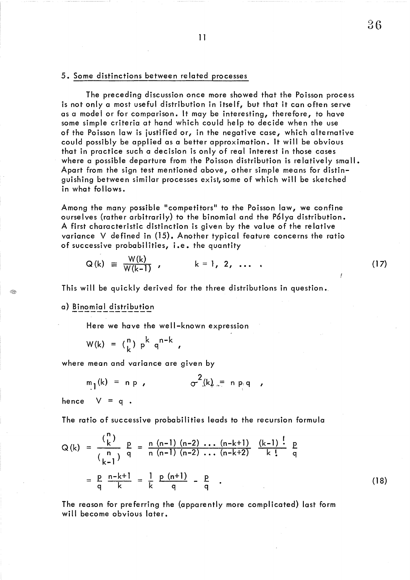## 5. Some distinctions betwee n re lated processes

The preceding discussion once more showed that the Poisson process is not only a most useful distribution in itself, but that it can often serve as a model or for comparison. It may be interesting, therefore, to have some simple criteria at hand which could help to decide when the use of the Poisson law is justified or, in the negative case, which alternative could possibly be applied as a better approximation. It will be obvious that in practice such a decision is only of real interest in those cases where a possible departure from the Poisson distribution is relatively small. Apart from the sign test mentioned above, other simple means for distinguishing between similar processes exist, some of which will be sketched in what follows.

Among the many possible "competitors" to the Poisson law, we confine ourselves (rather arbitrarily) to the binomial and the P61ya distribution. A first characteristic distinction is given by the value of the relative variance V defined in (15). Another typical feature concerns the ratio of successive probabilities, i.e. the quantity

$$
Q(k) = \frac{W(k)}{W(k-1)}, \qquad k = 1, 2, \ldots
$$
 (17)

This will be quickly derived for the three distributions in question •.

a) Binomial distribution

Here we have the well-known expression

 $W(k) = {n \choose k} p^k q^{n-k}$ 

where mean and variance are given by

$$
m_1(k) = n p, \qquad \sigma^2(k) = n p q,
$$

hence  $V = q$ .

The ratio of successive probabilities leads to the recursion formula

$$
Q(k) = \frac{\binom{n}{k}}{\binom{n}{k-1}} \frac{p}{q} = \frac{n (n-1) (n-2) \dots (n-k+1)}{n (n-1) (n-2) \dots (n-k+2)} \frac{(k-1)!}{k!} \frac{p}{q}
$$
  
=  $\frac{p}{q} \frac{n-k+1}{k} = \frac{1}{k} \frac{p (n+1)}{q} - \frac{p}{q}$  (18)

The reason for preferring the (apparently more complicated) last form will become obvious later.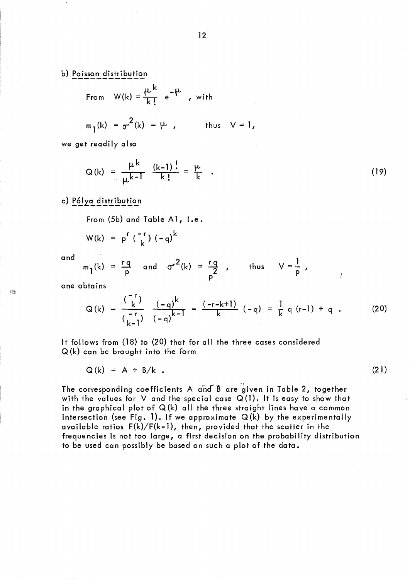b) Poisson distribution

From 
$$
W(k) = \frac{\mu^k}{k!} e^{-\mu}
$$
, with

$$
m_1(k) = \sigma^2(k) = \mu
$$
, thus  $V = 1$ ,

we get readily also

$$
Q(k) = \frac{\mu^{k}}{\mu^{k-1}} \frac{(k-1)^{\frac{1}{k}}}{k!} = \frac{\mu}{k} .
$$
 (19)

c) Pólya distribution

From  $(5b)$  and Table A1, i.e.

$$
W(k) = p^{r} \binom{-r}{k} (-q)^{k}
$$

and

$$
m_1(k) = \frac{rq}{p}
$$
 and  $\sigma^2(k) = \frac{rq}{p}$ , thus  $V = \frac{1}{p}$ ,

one obtains

$$
Q(k) = \frac{\binom{-r}{k}}{\binom{-r}{k-1}} \frac{(-q)^k}{(-q)^{k-1}} = \frac{(-r-k+1)}{k} (-q) = \frac{1}{k} q (r-1) + q . \tag{20}
$$

It follows from (18) to (20) that for all the three cases considered Q (k) can be brought into the form

$$
Q(k) = A + B/k \tag{21}
$$

The corresponding coefficients A and B are given in Table 2, together with the values for V and the special case  $Q(1)$ . It is easy to show that in the graphical plot of  $Q(k)$  all the three straight lines have a common intersection (see Fig. 1). If we approximate  $Q(k)$  by the experimentally available ratios F(k)/F(k-1), then, provided that the scatter in the frequencies is not too large, a first decision on the probability distribution to be used can possibly be based on such a plot of the data.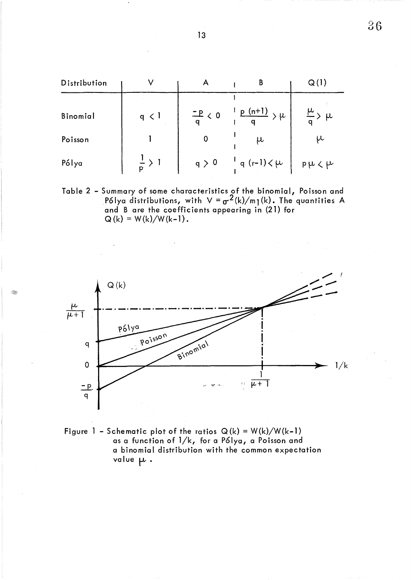| Distribution |                   | Α                  | В                             | Q(1)                    |
|--------------|-------------------|--------------------|-------------------------------|-------------------------|
| Binomial     | q $\langle$ 1     | $\frac{-p}{q} < 0$ | $\frac{p(n+1)}{p}$ $\mu$      | $\frac{\mu}{q}$ > $\mu$ |
| Poisson      |                   |                    | μ                             | μ                       |
| Pólya        | $\frac{1}{p}$ > 1 | q > 0              | $\frac{1}{q}$ (r-1) $\lt \mu$ | $p\mu\ell\mu$           |

Table 2 - Summary of some characteristics of the binomial, Poisson and P61ya distributions, with  $V = \sigma^2(k)/m_1(k)$ . The quantities A and B are the coefficients appearing in (21) for  $Q(k) = W(k)/W(k-1)$ .



Figure 1 - Schematic plot of the ratios  $Q(k) = W(k)/W(k-1)$ as a function of l/k, for a P6lya, a Poisson and a binomial distribution with the common expectation value  $\mu$  .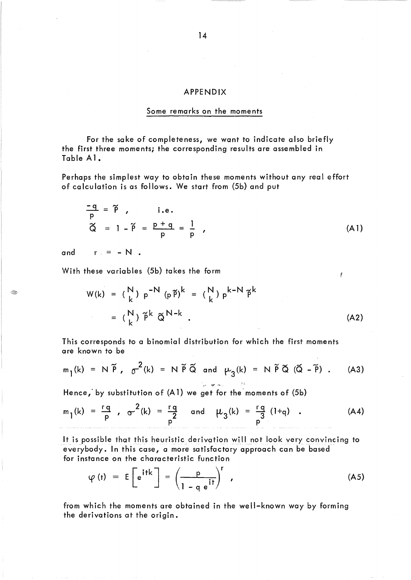#### APPENDIX

### Some remarks on the moments

For the sake of completeness, we want to indicate also briefly the first three moments; the corresponding results are assembled in Table A 1.

Perhaps the simplest way to obtain these moments without any real effort of calculation is as follows. We start from (5b) and put

$$
\frac{-q}{p} = \tilde{p} \quad \text{i.e.}
$$
\n
$$
\tilde{Q} = 1 - \tilde{p} = \frac{p+q}{p} = \frac{1}{p} \quad (A1)
$$

and  $r = -N$ .

I.

With these variables (5b) takes the form

$$
W(k) = {N \choose k} p^{-N} (p \tilde{p})^k = {N \choose k} p^{k-N} \tilde{p}^k
$$
  

$$
= {N \choose k} \tilde{p}^k \tilde{Q}^{N-k}.
$$
 (A2)

 $\mathbf{r}$ 

This corresponds to a binomial distribution for which the first moments are known to be

$$
m_1(k) = N \tilde{P}
$$
,  $\sigma^2(k) = N \tilde{P} \tilde{Q}$  and  $\mu_3(k) = N \tilde{P} \tilde{Q} (\tilde{Q} - \tilde{P})$ . (A3)

Hence, by substitution of (A1) we get for the moments of (5b)

$$
m_1(k) = \frac{rq}{p}
$$
,  $\sigma^2(k) = \frac{rq}{p^2}$  and  $\mu_3(k) = \frac{rq}{p^3}(1+q)$ . (A4)

It is possible that this heuristic derivation will not look very convincing to everybody. In this case, a more satisfactory approach can be based for instance on the characteristic function

$$
\varphi(t) = E\left[e^{itk}\right] = \left(\frac{p}{1-q e^{it}}\right)^r,
$$
\n(A5)

from which the moments are obtained in the well-known way by forming the derivations at the origin.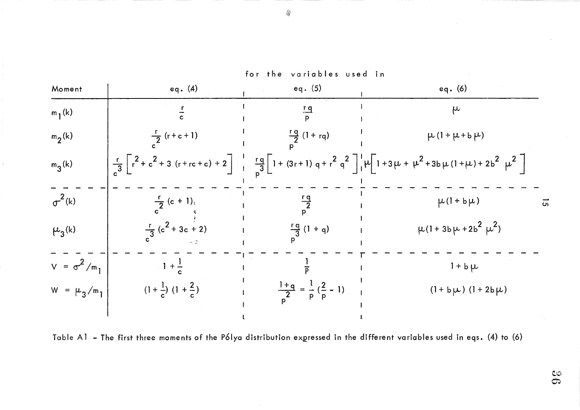

Table A1 - The first three moments of the Pólya distribution expressed in the different variables used in eqs. (4) to (6)

 $\mathbb{C}\mathbb{O}$  $\mathcal{O}$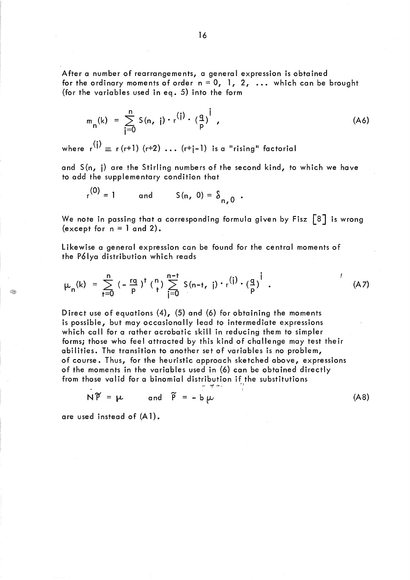After a number of rearrangements, a general expression is obtained for the ordinary moments of order  $n = 0, 1, 2, ...$  which can be brought (for the variables used in eq. 5) into the form

$$
m_{n}(k) = \sum_{j=0}^{n} S(n, j) \cdot r^{(j)} \cdot (\frac{q}{p})^{j}
$$
 (A6)

where  $r^{(i)} \equiv r(r+1)$   $(r+2)$  ...  $(r+i-1)$  is a "rising" factorial

and S(n, j) are the Stirling numbers of the second kind, to which we have to add the supplementary condition that

$$
r^{(0)} = 1
$$
 and  $S(n, 0) = \delta_{n, 0}$ .

We note in passing that a corresponding formula given by Fisz  $\lceil 8 \rceil$  is wrong (except for  $n = 1$  and 2).

Likewise a general expression can be found for the central moments of the Pólya distribution which reads

$$
\mu_{n}(k) = \sum_{j=0}^{n} (-\frac{rq}{p})^{j} \binom{n}{j} \sum_{j=0}^{n-1} S(n-j, j) \cdot r^{(j)} \cdot \left(\frac{q}{p}\right)^{j} . \tag{A7}
$$

Direct use of equations (4), (5) and (6) for obtaining the moments is possible, but may occasionally lead to intermediate expressions which call for a rather acrobatic skill in reducing them to simpler forms; those who feel attracted by this kind of challenge may test their abilities. The transition to another set of variables is no problem, of course. Thus, for the heuristic approach sketched above, expressions of the moments in the variables used in (6) can be obtained directly from those valid for a binomial distribution if the substitutions

$$
N\widetilde{P} = \mu \qquad \text{and} \qquad \widetilde{P} = -b \mu \qquad (A8)
$$

are used instead of (A 1).

Œ.